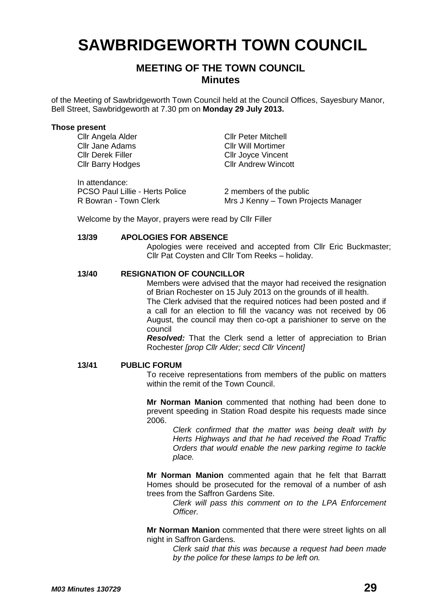# **SAWBRIDGEWORTH TOWN COUNCIL**

# **MEETING OF THE TOWN COUNCIL Minutes**

of the Meeting of Sawbridgeworth Town Council held at the Council Offices, Sayesbury Manor, Bell Street, Sawbridgeworth at 7.30 pm on **Monday 29 July 2013.**

#### **Those present**

Cllr Angela Alder Cllr Peter Mitchell Cllr Jane Adams<br>
Cllr Will Mortimer<br>
Cllr Jovce Vincent Cllr Barry Hodges

In attendance: PCSO Paul Lillie - Herts Police 2 members of the public

Cllr Joyce Vincent<br>Cllr Andrew Wincott

R Bowran - Town Clerk Mrs J Kenny – Town Projects Manager

Welcome by the Mayor, prayers were read by Cllr Filler

#### **13/39 APOLOGIES FOR ABSENCE**

Apologies were received and accepted from Cllr Eric Buckmaster; Cllr Pat Coysten and Cllr Tom Reeks – holiday.

# **13/40 RESIGNATION OF COUNCILLOR**

Members were advised that the mayor had received the resignation of Brian Rochester on 15 July 2013 on the grounds of ill health.

The Clerk advised that the required notices had been posted and if a call for an election to fill the vacancy was not received by 06 August, the council may then co-opt a parishioner to serve on the council

*Resolved:* That the Clerk send a letter of appreciation to Brian Rochester *[prop Cllr Alder; secd Cllr Vincent]*

#### **13/41 PUBLIC FORUM**

To receive representations from members of the public on matters within the remit of the Town Council.

**Mr Norman Manion** commented that nothing had been done to prevent speeding in Station Road despite his requests made since 2006.

> *Clerk confirmed that the matter was being dealt with by Herts Highways and that he had received the Road Traffic Orders that would enable the new parking regime to tackle place.*

**Mr Norman Manion** commented again that he felt that Barratt Homes should be prosecuted for the removal of a number of ash trees from the Saffron Gardens Site.

*Clerk will pass this comment on to the LPA Enforcement Officer.*

**Mr Norman Manion** commented that there were street lights on all night in Saffron Gardens.

> *Clerk said that this was because a request had been made by the police for these lamps to be left on.*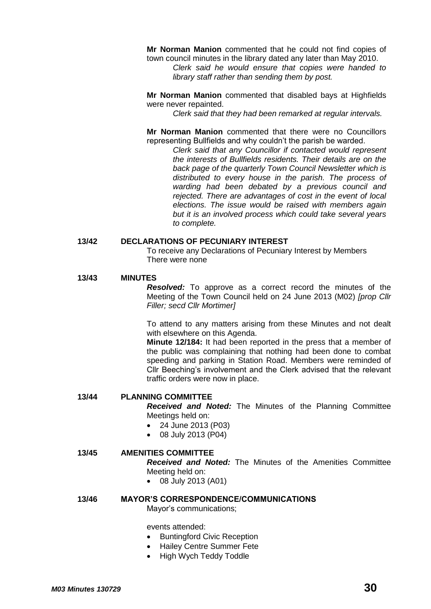**Mr Norman Manion** commented that he could not find copies of town council minutes in the library dated any later than May 2010.

*Clerk said he would ensure that copies were handed to library staff rather than sending them by post.*

**Mr Norman Manion** commented that disabled bays at Highfields were never repainted.

*Clerk said that they had been remarked at regular intervals.*

**Mr Norman Manion** commented that there were no Councillors representing Bullfields and why couldn't the parish be warded.

> *Clerk said that any Councillor if contacted would represent the interests of Bullfields residents. Their details are on the back page of the quarterly Town Council Newsletter which is distributed to every house in the parish. The process of warding had been debated by a previous council and rejected. There are advantages of cost in the event of local elections. The issue would be raised with members again but it is an involved process which could take several years to complete.*

# **13/42 DECLARATIONS OF PECUNIARY INTEREST**

To receive any Declarations of Pecuniary Interest by Members There were none

#### **13/43 MINUTES**

*Resolved:* To approve as a correct record the minutes of the Meeting of the Town Council held on 24 June 2013 (M02) *[prop Cllr Filler; secd Cllr Mortimer]*

To attend to any matters arising from these Minutes and not dealt with elsewhere on this Agenda.

**Minute 12/184:** It had been reported in the press that a member of the public was complaining that nothing had been done to combat speeding and parking in Station Road. Members were reminded of Cllr Beeching's involvement and the Clerk advised that the relevant traffic orders were now in place.

#### **13/44 PLANNING COMMITTEE**

*Received and Noted:* The Minutes of the Planning Committee Meetings held on:

- 24 June 2013 (P03)
- 08 July 2013 (P04)

#### **13/45 AMENITIES COMMITTEE**

*Received and Noted:* The Minutes of the Amenities Committee Meeting held on:

08 July 2013 (A01)

## **13/46 MAYOR'S CORRESPONDENCE/COMMUNICATIONS**

Mayor's communications;

events attended:

- Buntingford Civic Reception
- Hailey Centre Summer Fete
- High Wych Teddy Toddle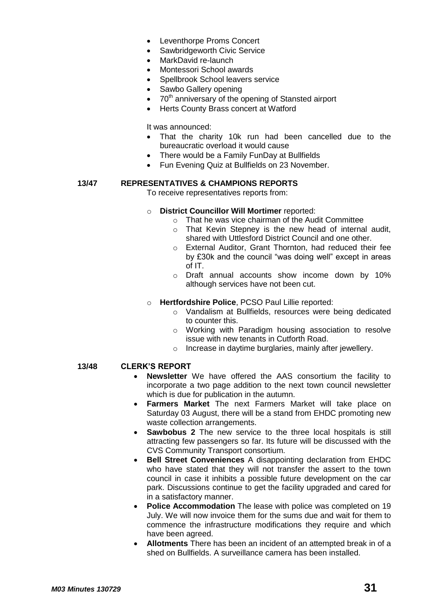- Leventhorpe Proms Concert
- Sawbridgeworth Civic Service
- MarkDavid re-launch
- Montessori School awards
- Spellbrook School leavers service
- Sawbo Gallery opening
- 70<sup>th</sup> anniversary of the opening of Stansted airport
- Herts County Brass concert at Watford

It was announced:

- That the charity 10k run had been cancelled due to the bureaucratic overload it would cause
- There would be a Family FunDay at Bullfields
- Fun Evening Quiz at Bullfields on 23 November.

# **13/47 REPRESENTATIVES & CHAMPIONS REPORTS**

To receive representatives reports from:

- o **District Councillor Will Mortimer** reported:
	- o That he was vice chairman of the Audit Committee
	- o That Kevin Stepney is the new head of internal audit, shared with Uttlesford District Council and one other.
	- o External Auditor, Grant Thornton, had reduced their fee by £30k and the council "was doing well" except in areas of IT.
	- o Draft annual accounts show income down by 10% although services have not been cut.
- o **Hertfordshire Police**, PCSO Paul Lillie reported:
	- o Vandalism at Bullfields, resources were being dedicated to counter this.
	- o Working with Paradigm housing association to resolve issue with new tenants in Cutforth Road.
	- o Increase in daytime burglaries, mainly after jewellery.

# **13/48 CLERK'S REPORT**

- **Newsletter** We have offered the AAS consortium the facility to incorporate a two page addition to the next town council newsletter which is due for publication in the autumn.
- **Farmers Market** The next Farmers Market will take place on Saturday 03 August, there will be a stand from EHDC promoting new waste collection arrangements.
- **Sawbobus 2** The new service to the three local hospitals is still attracting few passengers so far. Its future will be discussed with the CVS Community Transport consortium.
- **Bell Street Conveniences** A disappointing declaration from EHDC who have stated that they will not transfer the assert to the town council in case it inhibits a possible future development on the car park. Discussions continue to get the facility upgraded and cared for in a satisfactory manner.
- **Police Accommodation** The lease with police was completed on 19 July. We will now invoice them for the sums due and wait for them to commence the infrastructure modifications they require and which have been agreed.
- **Allotments** There has been an incident of an attempted break in of a shed on Bullfields. A surveillance camera has been installed.